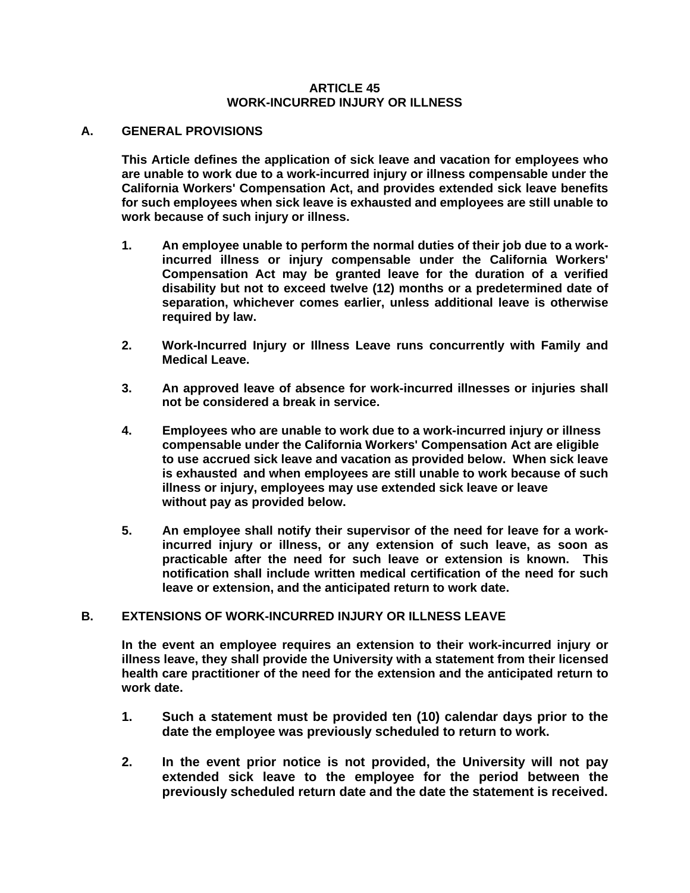#### **ARTICLE 45 WORK-INCURRED INJURY OR ILLNESS**

#### **A. GENERAL PROVISIONS**

**This Article defines the application of sick leave and vacation for employees who are unable to work due to a work-incurred injury or illness compensable under the California Workers' Compensation Act, and provides extended sick leave benefits for such employees when sick leave is exhausted and employees are still unable to work because of such injury or illness.**

- **1. An employee unable to perform the normal duties of their job due to a workincurred illness or injury compensable under the California Workers' Compensation Act may be granted leave for the duration of a verified disability but not to exceed twelve (12) months or a predetermined date of separation, whichever comes earlier, unless additional leave is otherwise required by law.**
- **2. Work-Incurred Injury or Illness Leave runs concurrently with Family and Medical Leave.**
- **3. An approved leave of absence for work-incurred illnesses or injuries shall not be considered a break in service.**
- **4. Employees who are unable to work due to a work-incurred injury or illness compensable under the California Workers' Compensation Act are eligible to use accrued sick leave and vacation as provided below. When sick leave is exhausted and when employees are still unable to work because of such illness or injury, employees may use extended sick leave or leave without pay as provided below.**
- **5. An employee shall notify their supervisor of the need for leave for a workincurred injury or illness, or any extension of such leave, as soon as practicable after the need for such leave or extension is known. This notification shall include written medical certification of the need for such leave or extension, and the anticipated return to work date.**

### **B. EXTENSIONS OF WORK-INCURRED INJURY OR ILLNESS LEAVE**

**In the event an employee requires an extension to their work-incurred injury or illness leave, they shall provide the University with a statement from their licensed health care practitioner of the need for the extension and the anticipated return to work date.** 

- **1. Such a statement must be provided ten (10) calendar days prior to the date the employee was previously scheduled to return to work.**
- **2. In the event prior notice is not provided, the University will not pay extended sick leave to the employee for the period between the previously scheduled return date and the date the statement is received.**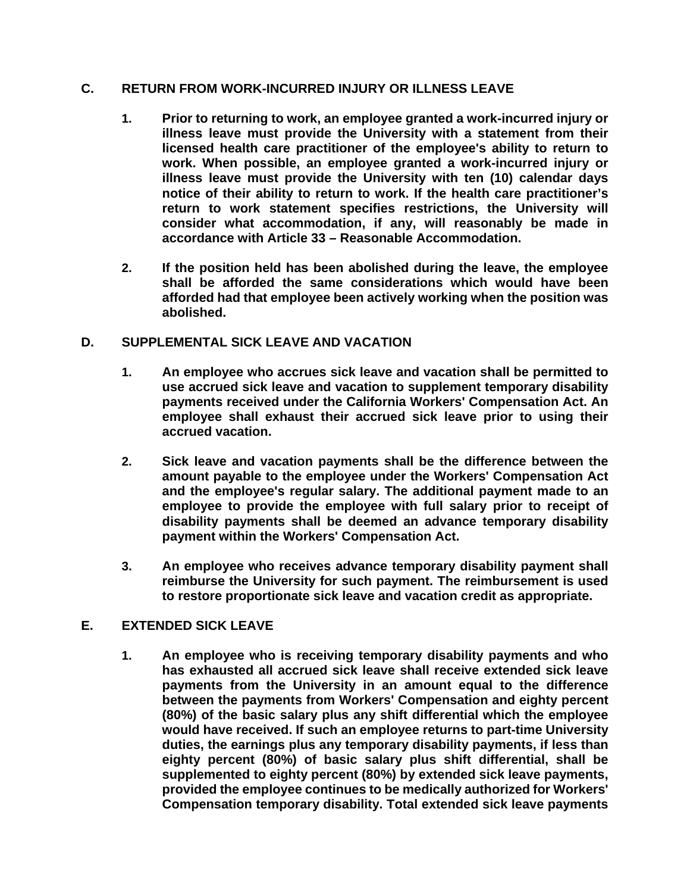### **C. RETURN FROM WORK-INCURRED INJURY OR ILLNESS LEAVE**

- **1. Prior to returning to work, an employee granted a work-incurred injury or illness leave must provide the University with a statement from their licensed health care practitioner of the employee's ability to return to work. When possible, an employee granted a work-incurred injury or illness leave must provide the University with ten (10) calendar days notice of their ability to return to work. If the health care practitioner's return to work statement specifies restrictions, the University will consider what accommodation, if any, will reasonably be made in accordance with Article 33 – Reasonable Accommodation.**
- **2. If the position held has been abolished during the leave, the employee shall be afforded the same considerations which would have been afforded had that employee been actively working when the position was abolished.**

### **D. SUPPLEMENTAL SICK LEAVE AND VACATION**

- **1. An employee who accrues sick leave and vacation shall be permitted to use accrued sick leave and vacation to supplement temporary disability payments received under the California Workers' Compensation Act. An employee shall exhaust their accrued sick leave prior to using their accrued vacation.**
- **2. Sick leave and vacation payments shall be the difference between the amount payable to the employee under the Workers' Compensation Act and the employee's regular salary. The additional payment made to an employee to provide the employee with full salary prior to receipt of disability payments shall be deemed an advance temporary disability payment within the Workers' Compensation Act.**
- **3. An employee who receives advance temporary disability payment shall reimburse the University for such payment. The reimbursement is used to restore proportionate sick leave and vacation credit as appropriate.**

## **E. EXTENDED SICK LEAVE**

**1. An employee who is receiving temporary disability payments and who has exhausted all accrued sick leave shall receive extended sick leave payments from the University in an amount equal to the difference between the payments from Workers' Compensation and eighty percent (80%) of the basic salary plus any shift differential which the employee would have received. If such an employee returns to part-time University duties, the earnings plus any temporary disability payments, if less than eighty percent (80%) of basic salary plus shift differential, shall be supplemented to eighty percent (80%) by extended sick leave payments, provided the employee continues to be medically authorized for Workers' Compensation temporary disability. Total extended sick leave payments**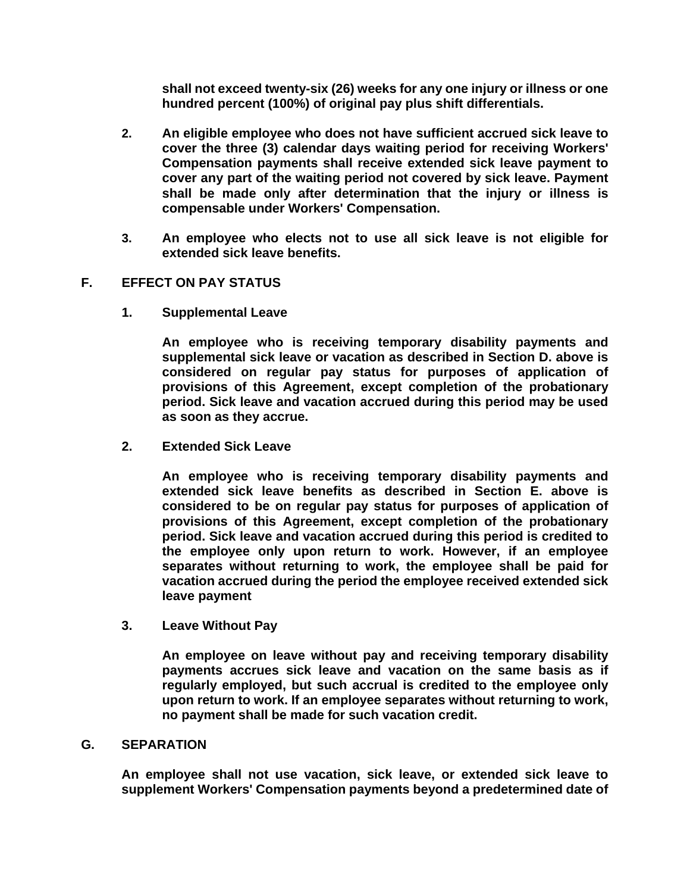**shall not exceed twenty-six (26) weeks for any one injury or illness or one hundred percent (100%) of original pay plus shift differentials.** 

- **2. An eligible employee who does not have sufficient accrued sick leave to cover the three (3) calendar days waiting period for receiving Workers' Compensation payments shall receive extended sick leave payment to cover any part of the waiting period not covered by sick leave. Payment shall be made only after determination that the injury or illness is compensable under Workers' Compensation.**
- **3. An employee who elects not to use all sick leave is not eligible for extended sick leave benefits.**

# **F. EFFECT ON PAY STATUS**

**1. Supplemental Leave** 

**An employee who is receiving temporary disability payments and supplemental sick leave or vacation as described in Section D. above is considered on regular pay status for purposes of application of provisions of this Agreement, except completion of the probationary period. Sick leave and vacation accrued during this period may be used as soon as they accrue.** 

**2. Extended Sick Leave**

**An employee who is receiving temporary disability payments and extended sick leave benefits as described in Section E. above is considered to be on regular pay status for purposes of application of provisions of this Agreement, except completion of the probationary period. Sick leave and vacation accrued during this period is credited to the employee only upon return to work. However, if an employee separates without returning to work, the employee shall be paid for vacation accrued during the period the employee received extended sick leave payment**

**3. Leave Without Pay** 

**An employee on leave without pay and receiving temporary disability payments accrues sick leave and vacation on the same basis as if regularly employed, but such accrual is credited to the employee only upon return to work. If an employee separates without returning to work, no payment shall be made for such vacation credit.** 

### **G. SEPARATION**

**An employee shall not use vacation, sick leave, or extended sick leave to supplement Workers' Compensation payments beyond a predetermined date of**